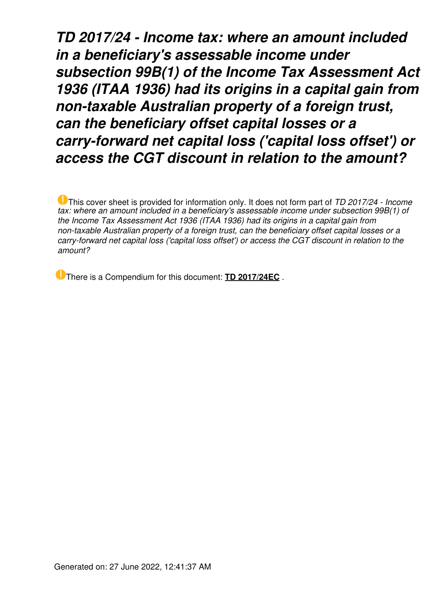*TD 2017/24 - Income tax: where an amount included in a beneficiary's assessable income under subsection 99B(1) of the Income Tax Assessment Act 1936 (ITAA 1936) had its origins in a capital gain from non-taxable Australian property of a foreign trust, can the beneficiary offset capital losses or a carry-forward net capital loss ('capital loss offset') or access the CGT discount in relation to the amount?*

This cover sheet is provided for information only. It does not form part of *TD 2017/24 - Income tax: where an amount included in a beneficiary's assessable income under subsection 99B(1) of the Income Tax Assessment Act 1936 (ITAA 1936) had its origins in a capital gain from non-taxable Australian property of a foreign trust, can the beneficiary offset capital losses or a carry-forward net capital loss ('capital loss offset') or access the CGT discount in relation to the amount?*

There is a Compendium for this document: **[TD 2017/24EC](https://www.ato.gov.au/law/view/document?LocID=%22CTD%2FTD2017EC24%2FNAT%2FATO%2F00001%22&PiT=99991231235958)** .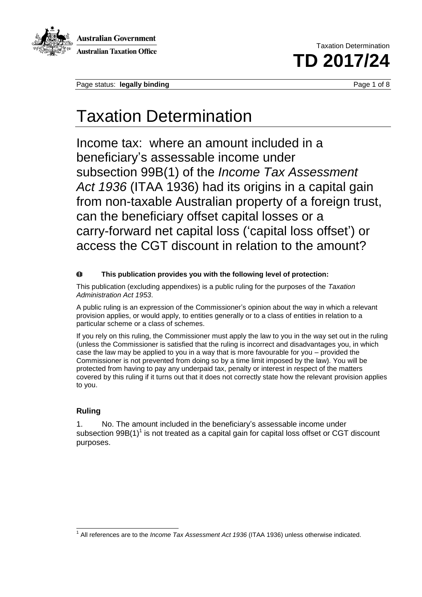

Australian Government **Australian Taxation Office** 

Taxation Determination **TD 2017/24** 

Page status: **legally binding** Page 1 of 8

### Taxation Determination

Income tax: where an amount included in a beneficiary's assessable income under subsection 99B(1) of the *Income Tax Assessment Act 1936* (ITAA 1936) had its origins in a capital gain from non-taxable Australian property of a foreign trust, can the beneficiary offset capital losses or a carry-forward net capital loss ('capital loss offset') or access the CGT discount in relation to the amount?

#### $\bf{0}$ **This publication provides you with the following level of protection:**

This publication (excluding appendixes) is a public ruling for the purposes of the *Taxation Administration Act 1953*.

A public ruling is an expression of the Commissioner's opinion about the way in which a relevant provision applies, or would apply, to entities generally or to a class of entities in relation to a particular scheme or a class of schemes.

If you rely on this ruling, the Commissioner must apply the law to you in the way set out in the ruling (unless the Commissioner is satisfied that the ruling is incorrect and disadvantages you, in which case the law may be applied to you in a way that is more favourable for you – provided the Commissioner is not prevented from doing so by a time limit imposed by the law). You will be protected from having to pay any underpaid tax, penalty or interest in respect of the matters covered by this ruling if it turns out that it does not correctly state how the relevant provision applies to you.

### **Ruling**

1. No. The amount included in the beneficiary's assessable income under subsection  $99B(1)^{1}$  is not treated as a capital gain for capital loss offset or CGT discount purposes.

 1 All references are to the *Income Tax Assessment Act 1936* (ITAA 1936) unless otherwise indicated.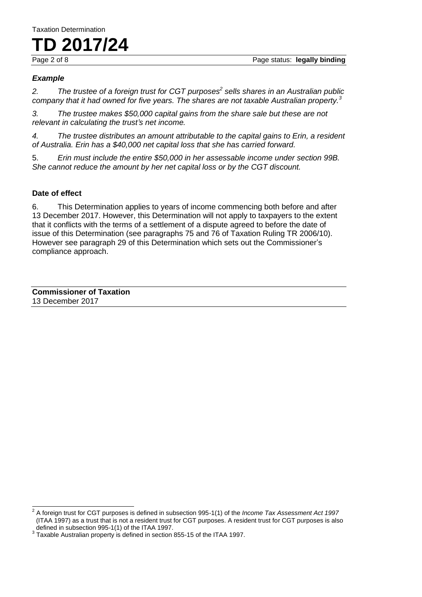## **TD 2017/24**

#### *Example*

*2. The trustee of a foreign trust for CGT purposes<sup>2</sup> sells shares in an Australian public company that it had owned for five years. The shares are not taxable Australian property.<sup>3</sup>*

*3. The trustee makes \$50,000 capital gains from the share sale but these are not relevant in calculating the trust's net income.* 

*4. The trustee distributes an amount attributable to the capital gains to Erin, a resident of Australia. Erin has a \$40,000 net capital loss that she has carried forward.* 

5. *Erin must include the entire \$50,000 in her assessable income under section 99B. She cannot reduce the amount by her net capital loss or by the CGT discount.*

#### **Date of effect**

6. This Determination applies to years of income commencing both before and after 13 December 2017. However, this Determination will not apply to taxpayers to the extent that it conflicts with the terms of a settlement of a dispute agreed to before the date of issue of this Determination (see paragraphs 75 and 76 of Taxation Ruling TR 2006/10). However see paragraph 29 of this Determination which sets out the Commissioner's compliance approach.

**Commissioner of Taxation** 13 December 2017

 2 A foreign trust for CGT purposes is defined in subsection 995-1(1) of the *Income Tax Assessment Act 1997* (ITAA 1997) as a trust that is not a resident trust for CGT purposes. A resident trust for CGT purposes is also defined in subsection 995-1(1) of the ITAA 1997.

 $3$  Taxable Australian property is defined in section 855-15 of the ITAA 1997.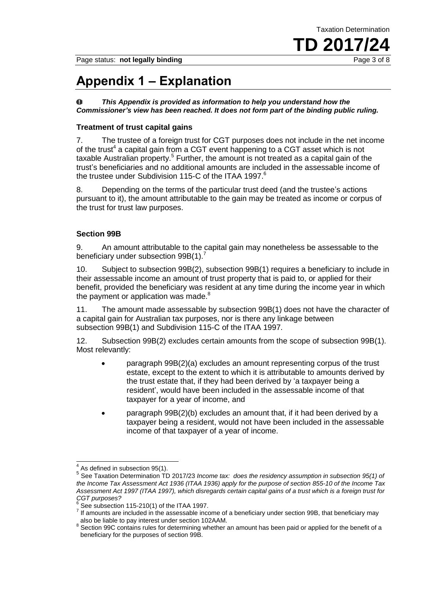Taxation Determination

Page status: **not legally binding Page 3 of 8 Page 3 of 8** 

# **TD 2017/24**

### **Appendix 1 – Explanation**

*This Appendix is provided as information to help you understand how the*  0 *Commissioner's view has been reached. It does not form part of the binding public ruling.* 

#### **Treatment of trust capital gains**

7. The trustee of a foreign trust for CGT purposes does not include in the net income of the trust<sup>4</sup> a capital gain from a CGT event happening to a CGT asset which is not taxable Australian property.<sup>5</sup> Further, the amount is not treated as a capital gain of the trust's beneficiaries and no additional amounts are included in the assessable income of the trustee under Subdivision 115-C of the ITAA 1997.<sup>6</sup>

8. Depending on the terms of the particular trust deed (and the trustee's actions pursuant to it), the amount attributable to the gain may be treated as income or corpus of the trust for trust law purposes.

#### **Section 99B**

9. An amount attributable to the capital gain may nonetheless be assessable to the beneficiary under subsection 99B(1).<sup>7</sup>

10. Subject to subsection 99B(2), subsection 99B(1) requires a beneficiary to include in their assessable income an amount of trust property that is paid to, or applied for their benefit, provided the beneficiary was resident at any time during the income year in which the payment or application was made.<sup>8</sup>

11. The amount made assessable by subsection 99B(1) does not have the character of a capital gain for Australian tax purposes, nor is there any linkage between subsection 99B(1) and Subdivision 115-C of the ITAA 1997.

12. Subsection 99B(2) excludes certain amounts from the scope of subsection 99B(1). Most relevantly:

- paragraph 99B(2)(a) excludes an amount representing corpus of the trust estate, except to the extent to which it is attributable to amounts derived by the trust estate that, if they had been derived by 'a taxpayer being a resident', would have been included in the assessable income of that taxpayer for a year of income, and
- paragraph 99B(2)(b) excludes an amount that, if it had been derived by a taxpayer being a resident, would not have been included in the assessable income of that taxpayer of a year of income.

 4 As defined in subsection 95(1).

<sup>&</sup>lt;sup>5</sup> See Taxation Determination TD 2017/23 *Income tax: does the residency assumption in subsection 95(1) of the Income Tax Assessment Act 1936 (ITAA 1936) apply for the purpose of section 855-10 of the Income Tax Assessment Act 1997 (ITAA 1997), which disregards certain capital gains of a trust which is a foreign trust for CGT purposes?*

 $6$  See subsection 115-210(1) of the ITAA 1997.

 $<sup>7</sup>$  If amounts are included in the assessable income of a beneficiary under section 99B, that beneficiary may</sup> also be liable to pay interest under section 102AAM.

<sup>&</sup>lt;sup>8</sup> Section 99C contains rules for determining whether an amount has been paid or applied for the benefit of a beneficiary for the purposes of section 99B.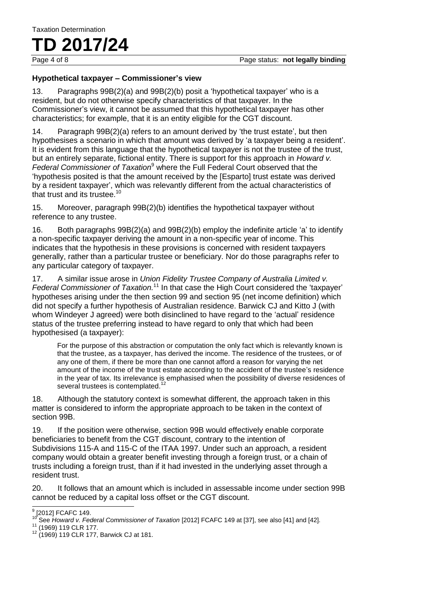### **TD 2017/24**

#### **Hypothetical taxpayer – Commissioner's view**

13. Paragraphs 99B(2)(a) and 99B(2)(b) posit a 'hypothetical taxpayer' who is a resident, but do not otherwise specify characteristics of that taxpayer. In the Commissioner's view, it cannot be assumed that this hypothetical taxpayer has other characteristics; for example, that it is an entity eligible for the CGT discount.

14. Paragraph 99B(2)(a) refers to an amount derived by 'the trust estate', but then hypothesises a scenario in which that amount was derived by 'a taxpayer being a resident'. It is evident from this language that the hypothetical taxpayer is not the trustee of the trust, but an entirely separate, fictional entity. There is support for this approach in *Howard v.*  Federal Commissioner of Taxation<sup>9</sup> where the Full Federal Court observed that the 'hypothesis posited is that the amount received by the [Esparto] trust estate was derived by a resident taxpayer', which was relevantly different from the actual characteristics of that trust and its trustee.<sup>10</sup>

15. Moreover, paragraph 99B(2)(b) identifies the hypothetical taxpayer without reference to any trustee.

16. Both paragraphs 99B(2)(a) and 99B(2)(b) employ the indefinite article 'a' to identify a non-specific taxpayer deriving the amount in a non-specific year of income. This indicates that the hypothesis in these provisions is concerned with resident taxpayers generally, rather than a particular trustee or beneficiary. Nor do those paragraphs refer to any particular category of taxpayer.

17. A similar issue arose in *Union Fidelity Trustee Company of Australia Limited v. Federal Commissioner of Taxation.*<sup>11</sup> In that case the High Court considered the 'taxpayer' hypotheses arising under the then section 99 and section 95 (net income definition) which did not specify a further hypothesis of Australian residence. Barwick CJ and Kitto J (with whom Windeyer J agreed) were both disinclined to have regard to the 'actual' residence status of the trustee preferring instead to have regard to only that which had been hypothesised (a taxpayer):

For the purpose of this abstraction or computation the only fact which is relevantly known is that the trustee, as a taxpayer, has derived the income. The residence of the trustees, or of any one of them, if there be more than one cannot afford a reason for varying the net amount of the income of the trust estate according to the accident of the trustee's residence in the year of tax. Its irrelevance is emphasised when the possibility of diverse residences of several trustees is contemplated.<sup>12</sup>

18. Although the statutory context is somewhat different, the approach taken in this matter is considered to inform the appropriate approach to be taken in the context of section 99B.

19. If the position were otherwise, section 99B would effectively enable corporate beneficiaries to benefit from the CGT discount, contrary to the intention of Subdivisions 115-A and 115-C of the ITAA 1997. Under such an approach, a resident company would obtain a greater benefit investing through a foreign trust, or a chain of trusts including a foreign trust, than if it had invested in the underlying asset through a resident trust.

20. It follows that an amount which is included in assessable income under section 99B cannot be reduced by a capital loss offset or the CGT discount.

<sup>————————————————————&</sup>lt;br><sup>9</sup> [2012] FCAFC 149.

<sup>&</sup>lt;sup>10</sup> See *Howard v. Federal Commissioner of Taxation* [2012] FCAFC 149 at [37], see also [41] and [42].

<sup>11</sup> (1969) 119 CLR 177.

 $12$  (1969) 119 CLR 177, Barwick CJ at 181.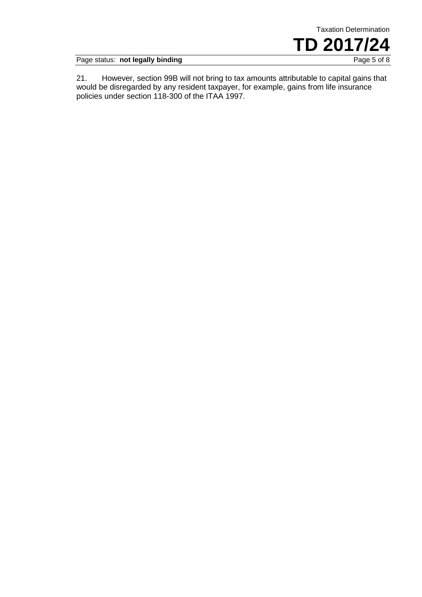

Page status: **not legally binding** Page 5 of 8

21. However, section 99B will not bring to tax amounts attributable to capital gains that would be disregarded by any resident taxpayer, for example, gains from life insurance policies under section 118-300 of the ITAA 1997.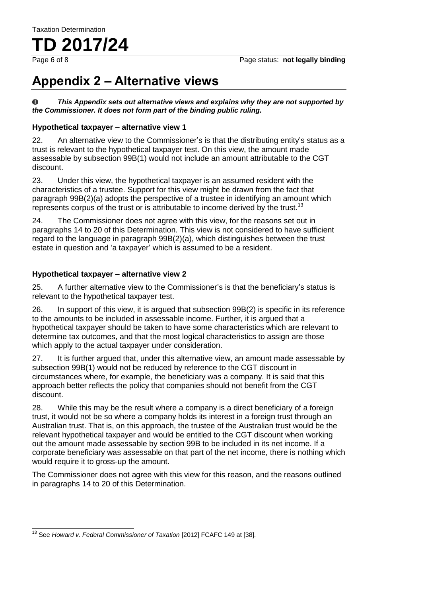Page 6 of 8 Page status: **not legally binding**

### **Appendix 2 – Alternative views**

0 *This Appendix sets out alternative views and explains why they are not supported by the Commissioner. It does not form part of the binding public ruling.* 

#### **Hypothetical taxpayer – alternative view 1**

22. An alternative view to the Commissioner's is that the distributing entity's status as a trust is relevant to the hypothetical taxpayer test. On this view, the amount made assessable by subsection 99B(1) would not include an amount attributable to the CGT discount.

23. Under this view, the hypothetical taxpayer is an assumed resident with the characteristics of a trustee. Support for this view might be drawn from the fact that paragraph 99B(2)(a) adopts the perspective of a trustee in identifying an amount which represents corpus of the trust or is attributable to income derived by the trust.<sup>13</sup>

24. The Commissioner does not agree with this view, for the reasons set out in paragraphs 14 to 20 of this Determination. This view is not considered to have sufficient regard to the language in paragraph 99B(2)(a), which distinguishes between the trust estate in question and 'a taxpayer' which is assumed to be a resident.

#### **Hypothetical taxpayer – alternative view 2**

25. A further alternative view to the Commissioner's is that the beneficiary's status is relevant to the hypothetical taxpayer test.

26. In support of this view, it is argued that subsection 99B(2) is specific in its reference to the amounts to be included in assessable income. Further, it is argued that a hypothetical taxpayer should be taken to have some characteristics which are relevant to determine tax outcomes, and that the most logical characteristics to assign are those which apply to the actual taxpayer under consideration.

27. It is further argued that, under this alternative view, an amount made assessable by subsection 99B(1) would not be reduced by reference to the CGT discount in circumstances where, for example, the beneficiary was a company. It is said that this approach better reflects the policy that companies should not benefit from the CGT discount.

28. While this may be the result where a company is a direct beneficiary of a foreign trust, it would not be so where a company holds its interest in a foreign trust through an Australian trust. That is, on this approach, the trustee of the Australian trust would be the relevant hypothetical taxpayer and would be entitled to the CGT discount when working out the amount made assessable by section 99B to be included in its net income. If a corporate beneficiary was assessable on that part of the net income, there is nothing which would require it to gross-up the amount.

The Commissioner does not agree with this view for this reason, and the reasons outlined in paragraphs 14 to 20 of this Determination.

 $\overline{\phantom{a}}$ <sup>13</sup> See *Howard v. Federal Commissioner of Taxation* [2012] FCAFC 149 at [38].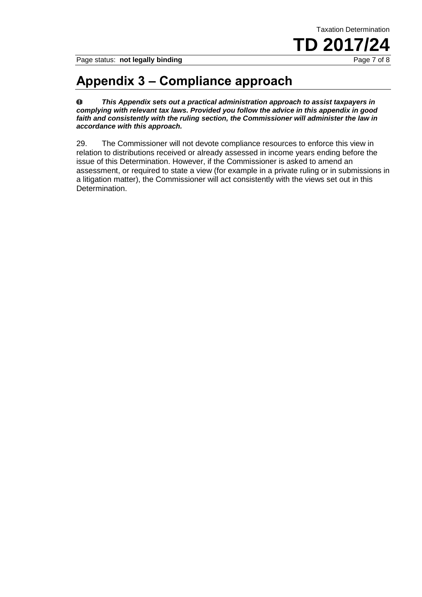Page status: **not legally binding Page 7 of 8 Page 7 of 8** 

### **Appendix 3 – Compliance approach**

 $\bf{0}$ *This Appendix sets out a practical administration approach to assist taxpayers in complying with relevant tax laws. Provided you follow the advice in this appendix in good faith and consistently with the ruling section, the Commissioner will administer the law in accordance with this approach.* 

29. The Commissioner will not devote compliance resources to enforce this view in relation to distributions received or already assessed in income years ending before the issue of this Determination. However, if the Commissioner is asked to amend an assessment, or required to state a view (for example in a private ruling or in submissions in a litigation matter), the Commissioner will act consistently with the views set out in this Determination.